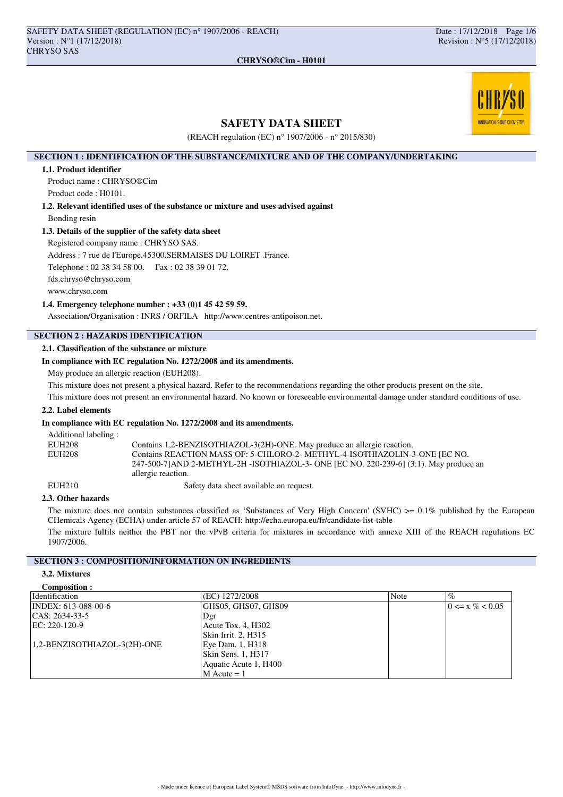# NNOVATION IS OUR CHEMISTR

# **SAFETY DATA SHEET**

**CHRYSO®Cim - H0101**

(REACH regulation (EC) n° 1907/2006 - n° 2015/830)

## **SECTION 1 : IDENTIFICATION OF THE SUBSTANCE/MIXTURE AND OF THE COMPANY/UNDERTAKING**

### **1.1. Product identifier**

Product name : CHRYSO®Cim Product code : H0101.

**1.2. Relevant identified uses of the substance or mixture and uses advised against** Bonding resin

### **1.3. Details of the supplier of the safety data sheet**

Registered company name : CHRYSO SAS.

Address : 7 rue de l'Europe.45300.SERMAISES DU LOIRET .France.

Telephone : 02 38 34 58 00. Fax : 02 38 39 01 72.

fds.chryso@chryso.com

www.chryso.com

### **1.4. Emergency telephone number : +33 (0)1 45 42 59 59.**

Association/Organisation : INRS / ORFILA http://www.centres-antipoison.net.

# **SECTION 2 : HAZARDS IDENTIFICATION**

# **2.1. Classification of the substance or mixture**

### **In compliance with EC regulation No. 1272/2008 and its amendments.**

May produce an allergic reaction (EUH208).

This mixture does not present a physical hazard. Refer to the recommendations regarding the other products present on the site.

This mixture does not present an environmental hazard. No known or foreseeable environmental damage under standard conditions of use.

### **2.2. Label elements**

### **In compliance with EC regulation No. 1272/2008 and its amendments.**

| Additional labeling: |                                                                                                                                                                                          |
|----------------------|------------------------------------------------------------------------------------------------------------------------------------------------------------------------------------------|
| EUH208               | Contains 1,2-BENZISOTHIAZOL-3(2H)-ONE. May produce an allergic reaction.                                                                                                                 |
| EUH208               | Contains REACTION MASS OF: 5-CHLORO-2- METHYL-4-ISOTHIAZOLIN-3-ONE [EC NO.<br>247-500-71AND 2-METHYL-2H-ISOTHIAZOL-3- ONE [EC NO. 220-239-6] (3:1). May produce an<br>allergic reaction. |
|                      |                                                                                                                                                                                          |

EUH210 Safety data sheet available on request.

### **2.3. Other hazards**

The mixture does not contain substances classified as 'Substances of Very High Concern' (SVHC)  $>0.1\%$  published by the European CHemicals Agency (ECHA) under article 57 of REACH: http://echa.europa.eu/fr/candidate-list-table

The mixture fulfils neither the PBT nor the vPvB criteria for mixtures in accordance with annexe XIII of the REACH regulations EC 1907/2006.

# **SECTION 3 : COMPOSITION/INFORMATION ON INGREDIENTS**

# **3.2. Mixtures**

| <b>Composition:</b> |  |
|---------------------|--|
|                     |  |

| <b>Identification</b>        | (EC) 1272/2008        | <b>Note</b> | $\%$                |
|------------------------------|-----------------------|-------------|---------------------|
| INDEX: 613-088-00-6          | GHS05, GHS07, GHS09   |             | $0 \le x \% < 0.05$ |
| CAS: 2634-33-5               | Dgr                   |             |                     |
| EC: 220-120-9                | Acute Tox. 4, H302    |             |                     |
|                              | Skin Irrit. 2, H315   |             |                     |
| 1,2-BENZISOTHIAZOL-3(2H)-ONE | Eye Dam. 1, H318      |             |                     |
|                              | Skin Sens. 1, H317    |             |                     |
|                              | Aquatic Acute 1, H400 |             |                     |
|                              | $M$ Acute = 1         |             |                     |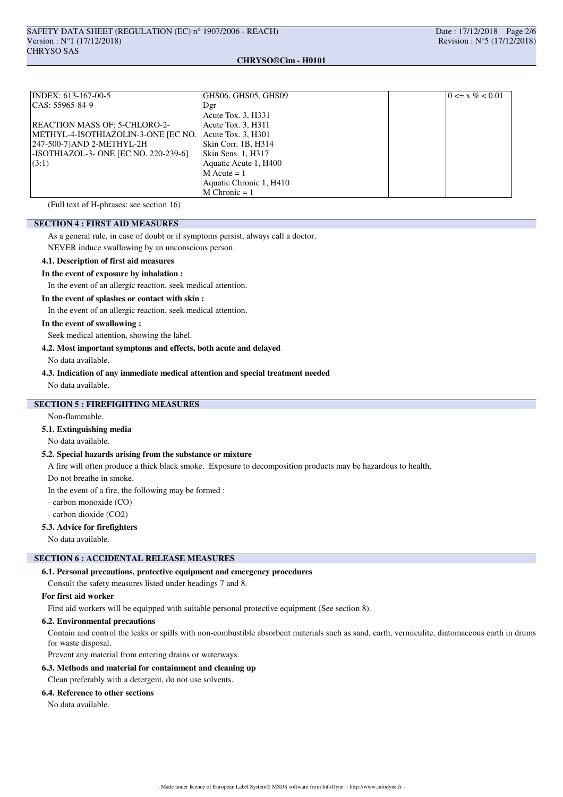### **CHRYSO®Cim - H0101**

| INDEX: 613-167-00-5                   | GHS06, GHS05, GHS09     | $0 \le x \% < 0.01$ |
|---------------------------------------|-------------------------|---------------------|
| $ CAS: 55965-84-9$                    | Dgr                     |                     |
|                                       | Acute Tox. 3, H331      |                     |
| <b>REACTION MASS OF: 5-CHLORO-2-</b>  | Acute Tox. 3, H311      |                     |
| METHYL-4-ISOTHIAZOLIN-3-ONE JEC NO.   | Acute Tox. 3, H301      |                     |
| 247-500-71AND 2-METHYL-2H             | Skin Corr. 1B, H314     |                     |
| -ISOTHIAZOL-3- ONE [EC NO. 220-239-6] | Skin Sens. 1, H317      |                     |
| (3:1)                                 | Aquatic Acute 1, H400   |                     |
|                                       | $M$ Acute = 1           |                     |
|                                       | Aquatic Chronic 1, H410 |                     |
|                                       | $M$ Chronic = 1         |                     |

(Full text of H-phrases: see section 16)

## **SECTION 4 : FIRST AID MEASURES**

As a general rule, in case of doubt or if symptoms persist, always call a doctor.

NEVER induce swallowing by an unconscious person.

### **4.1. Description of first aid measures**

### **In the event of exposure by inhalation :**

In the event of an allergic reaction, seek medical attention.

### **In the event of splashes or contact with skin :**

In the event of an allergic reaction, seek medical attention.

### **In the event of swallowing :**

Seek medical attention, showing the label.

### **4.2. Most important symptoms and effects, both acute and delayed**

No data available.

### **4.3. Indication of any immediate medical attention and special treatment needed**

No data available.

# **SECTION 5 : FIREFIGHTING MEASURES**

Non-flammable.

# **5.1. Extinguishing media**

No data available.

### **5.2. Special hazards arising from the substance or mixture**

A fire will often produce a thick black smoke. Exposure to decomposition products may be hazardous to health.

Do not breathe in smoke.

In the event of a fire, the following may be formed :

- carbon monoxide (CO)

- carbon dioxide (CO2)

### **5.3. Advice for firefighters**

No data available.

### **SECTION 6 : ACCIDENTAL RELEASE MEASURES**

### **6.1. Personal precautions, protective equipment and emergency procedures**

Consult the safety measures listed under headings 7 and 8.

### **For first aid worker**

First aid workers will be equipped with suitable personal protective equipment (See section 8).

### **6.2. Environmental precautions**

Contain and control the leaks or spills with non-combustible absorbent materials such as sand, earth, vermiculite, diatomaceous earth in drums for waste disposal.

Prevent any material from entering drains or waterways.

### **6.3. Methods and material for containment and cleaning up**

Clean preferably with a detergent, do not use solvents.

### **6.4. Reference to other sections**

No data available.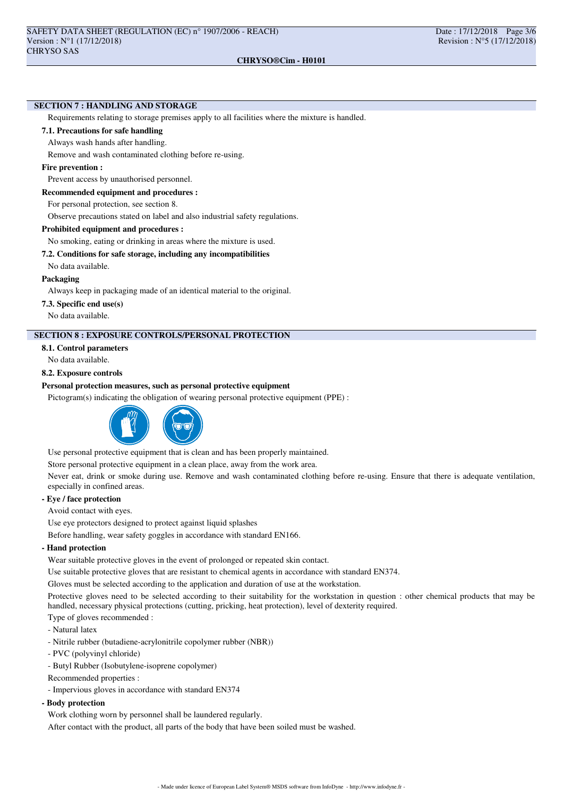### **SECTION 7 : HANDLING AND STORAGE**

Requirements relating to storage premises apply to all facilities where the mixture is handled.

### **7.1. Precautions for safe handling**

Always wash hands after handling.

Remove and wash contaminated clothing before re-using.

### **Fire prevention :**

Prevent access by unauthorised personnel.

### **Recommended equipment and procedures :**

For personal protection, see section 8.

Observe precautions stated on label and also industrial safety regulations.

### **Prohibited equipment and procedures :**

No smoking, eating or drinking in areas where the mixture is used.

### **7.2. Conditions for safe storage, including any incompatibilities**

No data available.

### **Packaging**

Always keep in packaging made of an identical material to the original.

### **7.3. Specific end use(s)**

No data available.

### **SECTION 8 : EXPOSURE CONTROLS/PERSONAL PROTECTION**

**8.1. Control parameters**

No data available.

### **8.2. Exposure controls**

### **Personal protection measures, such as personal protective equipment**

Pictogram(s) indicating the obligation of wearing personal protective equipment (PPE) :



Use personal protective equipment that is clean and has been properly maintained.

Store personal protective equipment in a clean place, away from the work area.

Never eat, drink or smoke during use. Remove and wash contaminated clothing before re-using. Ensure that there is adequate ventilation, especially in confined areas.

# **- Eye / face protection**

Avoid contact with eyes.

Use eye protectors designed to protect against liquid splashes

Before handling, wear safety goggles in accordance with standard EN166.

### **- Hand protection**

Wear suitable protective gloves in the event of prolonged or repeated skin contact.

Use suitable protective gloves that are resistant to chemical agents in accordance with standard EN374.

Gloves must be selected according to the application and duration of use at the workstation.

Protective gloves need to be selected according to their suitability for the workstation in question : other chemical products that may be handled, necessary physical protections (cutting, pricking, heat protection), level of dexterity required.

### Type of gloves recommended :

- Natural latex

- Nitrile rubber (butadiene-acrylonitrile copolymer rubber (NBR))
- PVC (polyvinyl chloride)
- Butyl Rubber (Isobutylene-isoprene copolymer)
- Recommended properties :
- Impervious gloves in accordance with standard EN374

### **- Body protection**

Work clothing worn by personnel shall be laundered regularly.

After contact with the product, all parts of the body that have been soiled must be washed.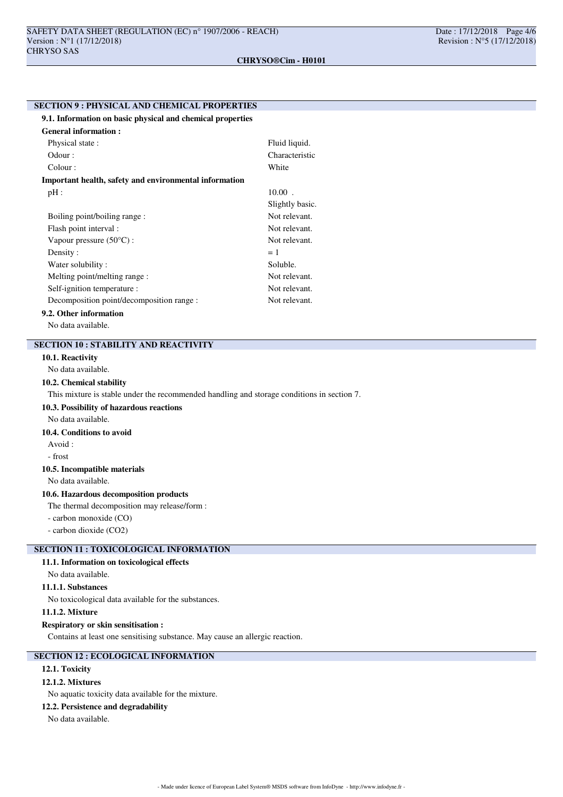# **SECTION 9 : PHYSICAL AND CHEMICAL PROPERTIES 9.1. Information on basic physical and chemical properties General information :** Physical state : Fluid liquid. Odour : Characteristic Colour : White **Important health, safety and environmental information**  $pH$  :  $10.00$ . Slightly basic. Boiling point/boiling range : Not relevant. Flash point interval : Not relevant. Vapour pressure (50°C) : Not relevant. Density :  $= 1$ Water solubility : Soluble. Melting point/melting range : Not relevant. Self-ignition temperature : Not relevant. Decomposition point/decomposition range : Not relevant. **9.2. Other information**

No data available.

# **SECTION 10 : STABILITY AND REACTIVITY**

### **10.1. Reactivity**

No data available.

### **10.2. Chemical stability**

This mixture is stable under the recommended handling and storage conditions in section 7.

### **10.3. Possibility of hazardous reactions**

No data available.

# **10.4. Conditions to avoid**

- Avoid :
- frost

# **10.5. Incompatible materials**

No data available.

# **10.6. Hazardous decomposition products**

The thermal decomposition may release/form :

- carbon monoxide (CO)

- carbon dioxide (CO2)

# **SECTION 11 : TOXICOLOGICAL INFORMATION**

# **11.1. Information on toxicological effects**

### No data available.

# **11.1.1. Substances**

No toxicological data available for the substances.

### **11.1.2. Mixture**

### **Respiratory or skin sensitisation :**

Contains at least one sensitising substance. May cause an allergic reaction.

# **SECTION 12 : ECOLOGICAL INFORMATION**

# **12.1. Toxicity**

# **12.1.2. Mixtures**

No aquatic toxicity data available for the mixture.

### **12.2. Persistence and degradability**

No data available.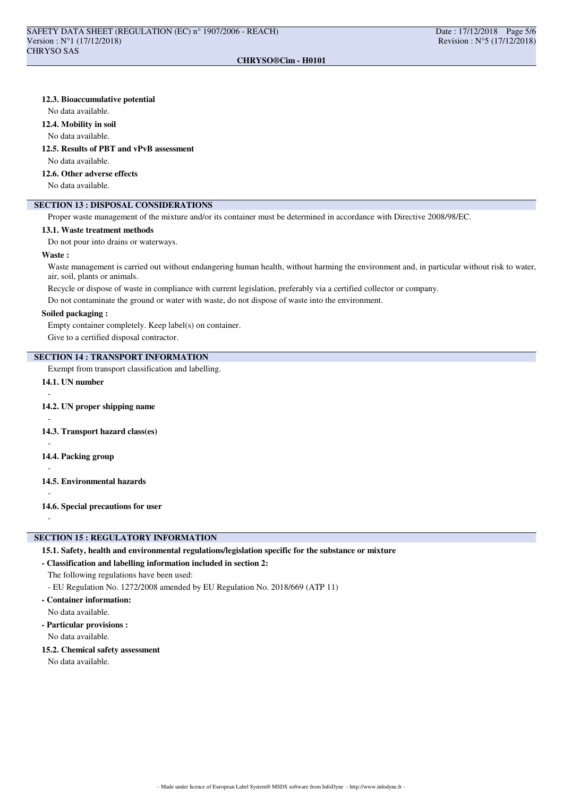### **CHRYSO®Cim - H0101**

### **12.3. Bioaccumulative potential**

No data available.

### **12.4. Mobility in soil**

No data available.

### **12.5. Results of PBT and vPvB assessment**

No data available.

### **12.6. Other adverse effects**

No data available.

# **SECTION 13 : DISPOSAL CONSIDERATIONS**

Proper waste management of the mixture and/or its container must be determined in accordance with Directive 2008/98/EC.

### **13.1. Waste treatment methods**

Do not pour into drains or waterways.

### **Waste :**

Waste management is carried out without endangering human health, without harming the environment and, in particular without risk to water, air, soil, plants or animals.

Recycle or dispose of waste in compliance with current legislation, preferably via a certified collector or company.

Do not contaminate the ground or water with waste, do not dispose of waste into the environment.

### **Soiled packaging :**

Empty container completely. Keep label(s) on container. Give to a certified disposal contractor.

## **SECTION 14 : TRANSPORT INFORMATION**

Exempt from transport classification and labelling.

# **14.1. UN number**

### **14.2. UN proper shipping name**

### **14.3. Transport hazard class(es)**

-

-

-

**14.4. Packing group**

- -
- **14.5. Environmental hazards**

# -

-

**14.6. Special precautions for user**

# **SECTION 15 : REGULATORY INFORMATION**

### **15.1. Safety, health and environmental regulations/legislation specific for the substance or mixture**

### **- Classification and labelling information included in section 2:**

The following regulations have been used:

- EU Regulation No. 1272/2008 amended by EU Regulation No. 2018/669 (ATP 11)
- **Container information:** No data available.
- **Particular provisions :**

No data available.

**15.2. Chemical safety assessment**

No data available.